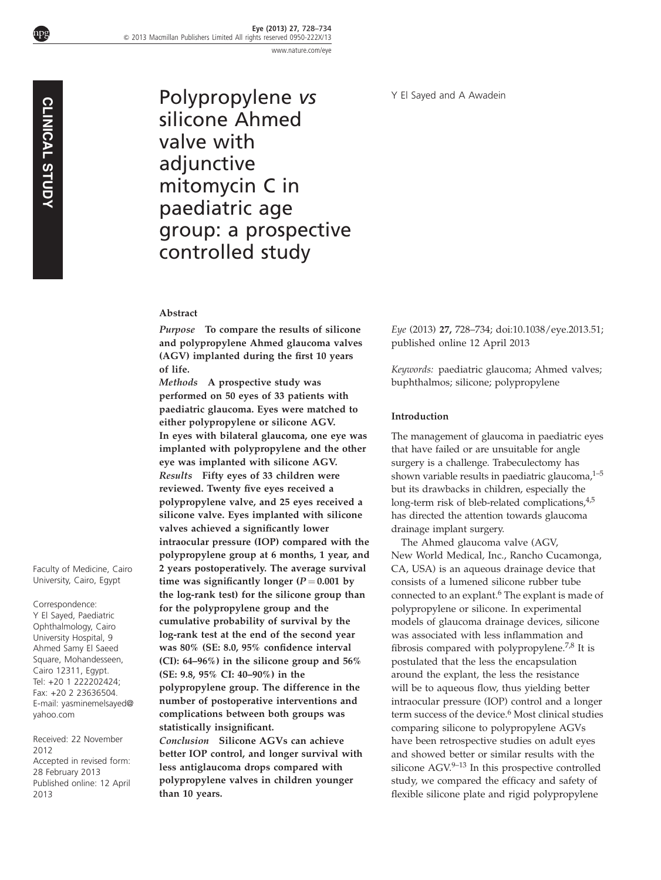CLINICAL STUDY

Polypropylene vs silicone Ahmed valve with adjunctive mitomycin C in paediatric age group: a prospective controlled study

## Abstract

Purpose To compare the results of silicone and polypropylene Ahmed glaucoma valves (AGV) implanted during the first 10 years of life.

Methods A prospective study was performed on 50 eyes of 33 patients with paediatric glaucoma. Eyes were matched to either polypropylene or silicone AGV. In eyes with bilateral glaucoma, one eye was implanted with polypropylene and the other eye was implanted with silicone AGV. Results Fifty eyes of 33 children were reviewed. Twenty five eyes received a polypropylene valve, and 25 eyes received a silicone valve. Eyes implanted with silicone valves achieved a significantly lower intraocular pressure (IOP) compared with the polypropylene group at 6 months, 1 year, and 2 years postoperatively. The average survival time was significantly longer ( $P = 0.001$  by the log-rank test) for the silicone group than for the polypropylene group and the cumulative probability of survival by the log-rank test at the end of the second year was 80% (SE: 8.0, 95% confidence interval (CI): 64–96%) in the silicone group and 56% (SE: 9.8, 95% CI: 40–90%) in the polypropylene group. The difference in the number of postoperative interventions and complications between both groups was statistically insignificant. Conclusion Silicone AGVs can achieve better IOP control, and longer survival with

less antiglaucoma drops compared with polypropylene valves in children younger than 10 years.

Eye (2013) 27, 728–734; doi[:10.1038/eye.2013.51;](http://dx.doi.org/10.1038/eye.2013.51) published online 12 April 2013

Keywords: paediatric glaucoma; Ahmed valves; buphthalmos; silicone; polypropylene

### Introduction

The management of glaucoma in paediatric eyes that have failed or are unsuitable for angle surgery is a challenge. Trabeculectomy has shown variable results in paediatric glaucoma, $1-5$ but its drawbacks in children, especially the long-term risk of bleb-related complications,<sup>4,5</sup> has directed the attention towards glaucoma drainage implant surgery.

The Ahmed glaucoma valve (AGV, New World Medical, Inc., Rancho Cucamonga, CA, USA) is an aqueous drainage device that consists of a lumened silicone rubber tube connected to an explant.[6](#page-5-0) The explant is made of polypropylene or silicone. In experimental models of glaucoma drainage devices, silicone was associated with less inflammation and fibrosis compared with polypropylene.[7,8](#page-5-0) It is postulated that the less the encapsulation around the explant, the less the resistance will be to aqueous flow, thus yielding better intraocular pressure (IOP) control and a longer term success of the device.<sup>[6](#page-5-0)</sup> Most clinical studies comparing silicone to polypropylene AGVs have been retrospective studies on adult eyes and showed better or similar results with the silicone  $AGV^{9-13}$  In this prospective controlled study, we compared the efficacy and safety of flexible silicone plate and rigid polypropylene

Faculty of Medicine, Cairo University, Cairo, Egypt

Correspondence: Y El Sayed, Paediatric Ophthalmology, Cairo University Hospital, 9 Ahmed Samy El Saeed Square, Mohandesseen, Cairo 12311, Egypt. Tel: +20 1 222202424; Fax: +20 2 23636504. E-mail: [yasminemelsayed@](mailto:yasminemelsayed@yahoo.com) [yahoo.com](mailto:yasminemelsayed@yahoo.com) **Facul Unive Corresponding Studies Studies Studies Studies Studies Studies Studies Studies Studies Studies Studies Studies Studies Studies Studies 2012<br>Recent Fax: Tel: + x: - ma<br>Recei 2012 Accel Publis** 

Received: 22 November 2012 Accepted in revised form: 28 February 2013 Published online: 12 April 2013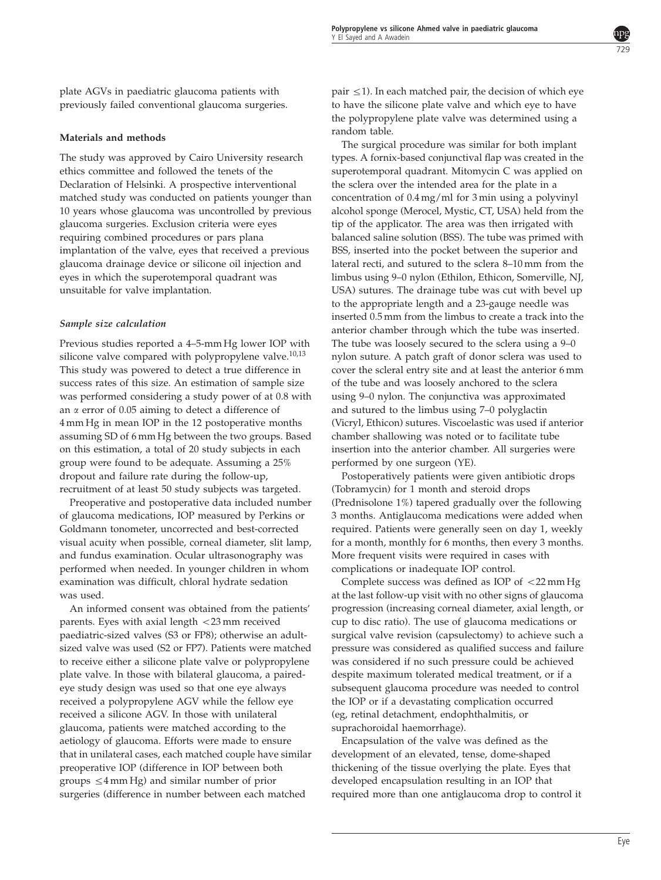plate AGVs in paediatric glaucoma patients with previously failed conventional glaucoma surgeries.

## Materials and methods

The study was approved by Cairo University research ethics committee and followed the tenets of the Declaration of Helsinki. A prospective interventional matched study was conducted on patients younger than 10 years whose glaucoma was uncontrolled by previous glaucoma surgeries. Exclusion criteria were eyes requiring combined procedures or pars plana implantation of the valve, eyes that received a previous glaucoma drainage device or silicone oil injection and eyes in which the superotemporal quadrant was unsuitable for valve implantation.

## Sample size calculation

Previous studies reported a 4–5-mm Hg lower IOP with silicone valve compared with polypropylene valve. $10,13$ This study was powered to detect a true difference in success rates of this size. An estimation of sample size was performed considering a study power of at 0.8 with an  $\alpha$  error of 0.05 aiming to detect a difference of 4 mm Hg in mean IOP in the 12 postoperative months assuming SD of 6 mm Hg between the two groups. Based on this estimation, a total of 20 study subjects in each group were found to be adequate. Assuming a 25% dropout and failure rate during the follow-up, recruitment of at least 50 study subjects was targeted.

Preoperative and postoperative data included number of glaucoma medications, IOP measured by Perkins or Goldmann tonometer, uncorrected and best-corrected visual acuity when possible, corneal diameter, slit lamp, and fundus examination. Ocular ultrasonography was performed when needed. In younger children in whom examination was difficult, chloral hydrate sedation was used.

An informed consent was obtained from the patients' parents. Eyes with axial length  $<$  23 mm received paediatric-sized valves (S3 or FP8); otherwise an adultsized valve was used (S2 or FP7). Patients were matched to receive either a silicone plate valve or polypropylene plate valve. In those with bilateral glaucoma, a pairedeye study design was used so that one eye always received a polypropylene AGV while the fellow eye received a silicone AGV. In those with unilateral glaucoma, patients were matched according to the aetiology of glaucoma. Efforts were made to ensure that in unilateral cases, each matched couple have similar preoperative IOP (difference in IOP between both groups  $\leq$  4 mm Hg) and similar number of prior surgeries (difference in number between each matched

pair  $\leq$ 1). In each matched pair, the decision of which eye to have the silicone plate valve and which eye to have the polypropylene plate valve was determined using a random table.

The surgical procedure was similar for both implant types. A fornix-based conjunctival flap was created in the superotemporal quadrant. Mitomycin C was applied on the sclera over the intended area for the plate in a concentration of 0.4 mg/ml for 3 min using a polyvinyl alcohol sponge (Merocel, Mystic, CT, USA) held from the tip of the applicator. The area was then irrigated with balanced saline solution (BSS). The tube was primed with BSS, inserted into the pocket between the superior and lateral recti, and sutured to the sclera 8–10 mm from the limbus using 9–0 nylon (Ethilon, Ethicon, Somerville, NJ, USA) sutures. The drainage tube was cut with bevel up to the appropriate length and a 23-gauge needle was inserted 0.5 mm from the limbus to create a track into the anterior chamber through which the tube was inserted. The tube was loosely secured to the sclera using a 9–0 nylon suture. A patch graft of donor sclera was used to cover the scleral entry site and at least the anterior 6 mm of the tube and was loosely anchored to the sclera using 9–0 nylon. The conjunctiva was approximated and sutured to the limbus using 7–0 polyglactin (Vicryl, Ethicon) sutures. Viscoelastic was used if anterior chamber shallowing was noted or to facilitate tube insertion into the anterior chamber. All surgeries were performed by one surgeon (YE).

Postoperatively patients were given antibiotic drops (Tobramycin) for 1 month and steroid drops (Prednisolone 1%) tapered gradually over the following 3 months. Antiglaucoma medications were added when required. Patients were generally seen on day 1, weekly for a month, monthly for 6 months, then every 3 months. More frequent visits were required in cases with complications or inadequate IOP control.

Complete success was defined as IOP of  $\langle 22 \text{ mm Hg} \rangle$ at the last follow-up visit with no other signs of glaucoma progression (increasing corneal diameter, axial length, or cup to disc ratio). The use of glaucoma medications or surgical valve revision (capsulectomy) to achieve such a pressure was considered as qualified success and failure was considered if no such pressure could be achieved despite maximum tolerated medical treatment, or if a subsequent glaucoma procedure was needed to control the IOP or if a devastating complication occurred (eg, retinal detachment, endophthalmitis, or suprachoroidal haemorrhage).

Encapsulation of the valve was defined as the development of an elevated, tense, dome-shaped thickening of the tissue overlying the plate. Eyes that developed encapsulation resulting in an IOP that required more than one antiglaucoma drop to control it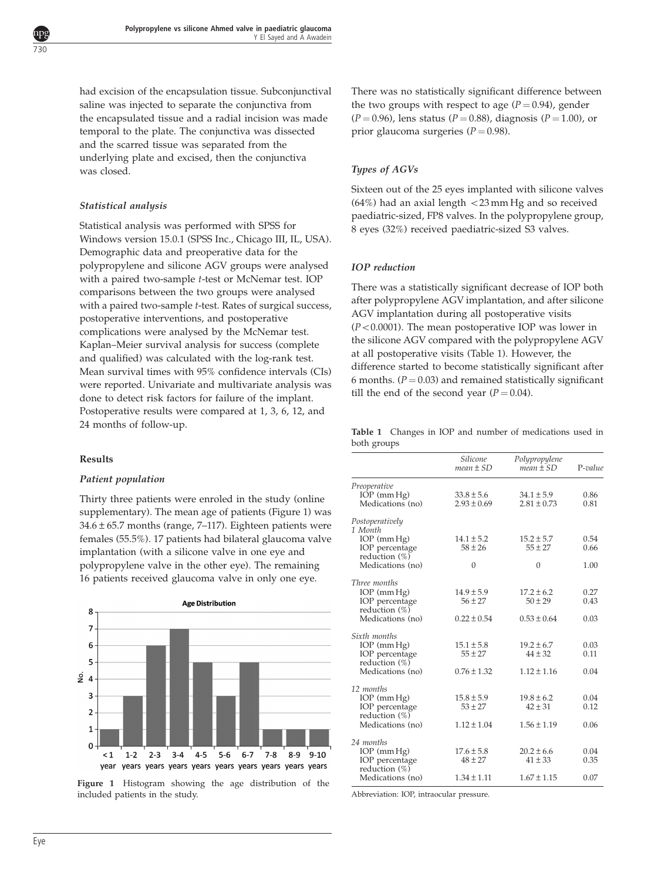<span id="page-2-0"></span>

had excision of the encapsulation tissue. Subconjunctival saline was injected to separate the conjunctiva from the encapsulated tissue and a radial incision was made temporal to the plate. The conjunctiva was dissected and the scarred tissue was separated from the underlying plate and excised, then the conjunctiva was closed.

# Statistical analysis

Statistical analysis was performed with SPSS for Windows version 15.0.1 (SPSS Inc., Chicago III, IL, USA). Demographic data and preoperative data for the polypropylene and silicone AGV groups were analysed with a paired two-sample t-test or McNemar test. IOP comparisons between the two groups were analysed with a paired two-sample t-test. Rates of surgical success, postoperative interventions, and postoperative complications were analysed by the McNemar test. Kaplan–Meier survival analysis for success (complete and qualified) was calculated with the log-rank test. Mean survival times with 95% confidence intervals (CIs) were reported. Univariate and multivariate analysis was done to detect risk factors for failure of the implant. Postoperative results were compared at 1, 3, 6, 12, and 24 months of follow-up.

## Results

### Patient population

Thirty three patients were enroled in the study (online supplementary). The mean age of patients (Figure 1) was  $34.6 \pm 65.7$  months (range, 7-117). Eighteen patients were females (55.5%). 17 patients had bilateral glaucoma valve implantation (with a silicone valve in one eye and polypropylene valve in the other eye). The remaining 16 patients received glaucoma valve in only one eye.



Figure 1 Histogram showing the age distribution of the included patients in the study.

There was no statistically significant difference between the two groups with respect to age  $(P = 0.94)$ , gender  $(P = 0.96)$ , lens status  $(P = 0.88)$ , diagnosis  $(P = 1.00)$ , or prior glaucoma surgeries ( $P = 0.98$ ).

## Types of AGVs

Sixteen out of the 25 eyes implanted with silicone valves  $(64%)$  had an axial length  $<$  23 mm Hg and so received paediatric-sized, FP8 valves. In the polypropylene group, 8 eyes (32%) received paediatric-sized S3 valves.

# IOP reduction

There was a statistically significant decrease of IOP both after polypropylene AGV implantation, and after silicone AGV implantation during all postoperative visits  $(P<0.0001)$ . The mean postoperative IOP was lower in the silicone AGV compared with the polypropylene AGV at all postoperative visits (Table 1). However, the difference started to become statistically significant after 6 months.  $(P = 0.03)$  and remained statistically significant till the end of the second year ( $P = 0.04$ ).

Table 1 Changes in IOP and number of medications used in both groups

|                                                                                            | Silicone<br>$mean \pm SD$                        | Polypropylene<br>$mean \pm SD$                   | $P-value$            |
|--------------------------------------------------------------------------------------------|--------------------------------------------------|--------------------------------------------------|----------------------|
| Preoperative<br>$IOP$ (mm $Hg$ )<br>Medications (no)                                       | $33.8 \pm 5.6$<br>$2.93 \pm 0.69$                | $34.1 \pm 5.9$<br>$2.81 \pm 0.73$                | 0.86<br>0.81         |
| Postoperatively<br>1 Month                                                                 |                                                  |                                                  |                      |
| $IOP$ (mm $Hg$ )<br>IOP percentage<br>reduction (%)                                        | $14.1 \pm 5.2$<br>$58 \pm 26$                    | $15.2 \pm 5.7$<br>$55 \pm 27$                    | 0.54<br>0.66         |
| Medications (no)                                                                           | $\theta$                                         | $\Omega$                                         | 1.00                 |
| Three months                                                                               |                                                  |                                                  |                      |
| $IOP$ (mm $Hg$ )<br>IOP percentage<br>reduction (%)                                        | $14.9 \pm 5.9$<br>$56 \pm 27$                    | $17.2 \pm 6.2$<br>$50 \pm 29$                    | 0.27<br>0.43         |
| Medications (no)                                                                           | $0.22 \pm 0.54$                                  | $0.53 \pm 0.64$                                  | 0.03                 |
| Sixth months<br>$IOP$ (mm $Hg$ )<br>IOP percentage<br>reduction $(\%)$<br>Medications (no) | $15.1 \pm 5.8$<br>$55 \pm 27$<br>$0.76 \pm 1.32$ | $19.2 \pm 6.7$<br>$44 \pm 32$<br>$1.12 \pm 1.16$ | 0.03<br>0.11<br>0.04 |
| 12 months                                                                                  |                                                  |                                                  |                      |
| $IOP$ (mm $Hg$ )<br>IOP percentage<br>reduction $(\%)$                                     | $15.8 \pm 5.9$<br>$53 \pm 27$                    | $19.8 \pm 6.2$<br>$42 \pm 31$                    | 0.04<br>0.12         |
| Medications (no)                                                                           | $1.12 \pm 1.04$                                  | $1.56 \pm 1.19$                                  | 0.06                 |
| 24 months<br>$IOP$ (mm $Hg$ )<br>IOP percentage<br>reduction $(\%)$                        | $17.6 \pm 5.8$<br>$48 \pm 27$                    | $20.2 \pm 6.6$<br>$41 \pm 33$                    | 0.04<br>0.35         |
| Medications (no)                                                                           | $1.34 \pm 1.11$                                  | $1.67 \pm 1.15$                                  | 0.07                 |

Abbreviation: IOP, intraocular pressure.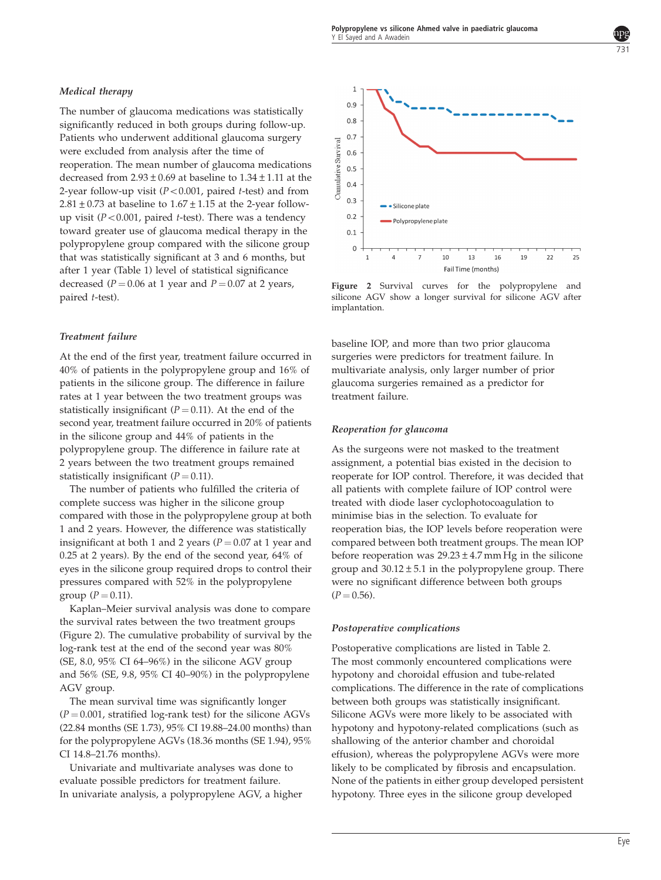# Medical therapy

The number of glaucoma medications was statistically significantly reduced in both groups during follow-up. Patients who underwent additional glaucoma surgery were excluded from analysis after the time of reoperation. The mean number of glaucoma medications decreased from  $2.93 \pm 0.69$  at baseline to  $1.34 \pm 1.11$  at the 2-year follow-up visit ( $P < 0.001$ , paired t-test) and from 2.81  $\pm$  0.73 at baseline to 1.67  $\pm$  1.15 at the 2-year followup visit ( $P < 0.001$ , paired t-test). There was a tendency toward greater use of glaucoma medical therapy in the polypropylene group compared with the silicone group that was statistically significant at 3 and 6 months, but after 1 year ([Table 1](#page-2-0)) level of statistical significance decreased ( $P = 0.06$  at 1 year and  $P = 0.07$  at 2 years, paired t-test).

# Treatment failure

At the end of the first year, treatment failure occurred in 40% of patients in the polypropylene group and 16% of patients in the silicone group. The difference in failure rates at 1 year between the two treatment groups was statistically insignificant ( $P = 0.11$ ). At the end of the second year, treatment failure occurred in 20% of patients in the silicone group and 44% of patients in the polypropylene group. The difference in failure rate at 2 years between the two treatment groups remained statistically insignificant  $(P = 0.11)$ .

The number of patients who fulfilled the criteria of complete success was higher in the silicone group compared with those in the polypropylene group at both 1 and 2 years. However, the difference was statistically insignificant at both 1 and 2 years ( $P = 0.07$  at 1 year and 0.25 at 2 years). By the end of the second year, 64% of eyes in the silicone group required drops to control their pressures compared with 52% in the polypropylene group ( $P = 0.11$ ).

Kaplan–Meier survival analysis was done to compare the survival rates between the two treatment groups (Figure 2). The cumulative probability of survival by the log-rank test at the end of the second year was 80% (SE, 8.0, 95% CI 64–96%) in the silicone AGV group and 56% (SE, 9.8, 95% CI 40–90%) in the polypropylene AGV group.

The mean survival time was significantly longer  $(P = 0.001$ , stratified log-rank test) for the silicone AGVs (22.84 months (SE 1.73), 95% CI 19.88–24.00 months) than for the polypropylene AGVs (18.36 months (SE 1.94), 95% CI 14.8–21.76 months).

Univariate and multivariate analyses was done to evaluate possible predictors for treatment failure. In univariate analysis, a polypropylene AGV, a higher



Figure 2 Survival curves for the polypropylene and silicone AGV show a longer survival for silicone AGV after implantation.

baseline IOP, and more than two prior glaucoma surgeries were predictors for treatment failure. In multivariate analysis, only larger number of prior glaucoma surgeries remained as a predictor for treatment failure.

### Reoperation for glaucoma

As the surgeons were not masked to the treatment assignment, a potential bias existed in the decision to reoperate for IOP control. Therefore, it was decided that all patients with complete failure of IOP control were treated with diode laser cyclophotocoagulation to minimise bias in the selection. To evaluate for reoperation bias, the IOP levels before reoperation were compared between both treatment groups. The mean IOP before reoperation was  $29.23 \pm 4.7$  mm Hg in the silicone group and  $30.12 \pm 5.1$  in the polypropylene group. There were no significant difference between both groups  $(P = 0.56)$ .

### Postoperative complications

Postoperative complications are listed in [Table 2](#page-4-0). The most commonly encountered complications were hypotony and choroidal effusion and tube-related complications. The difference in the rate of complications between both groups was statistically insignificant. Silicone AGVs were more likely to be associated with hypotony and hypotony-related complications (such as shallowing of the anterior chamber and choroidal effusion), whereas the polypropylene AGVs were more likely to be complicated by fibrosis and encapsulation. None of the patients in either group developed persistent hypotony. Three eyes in the silicone group developed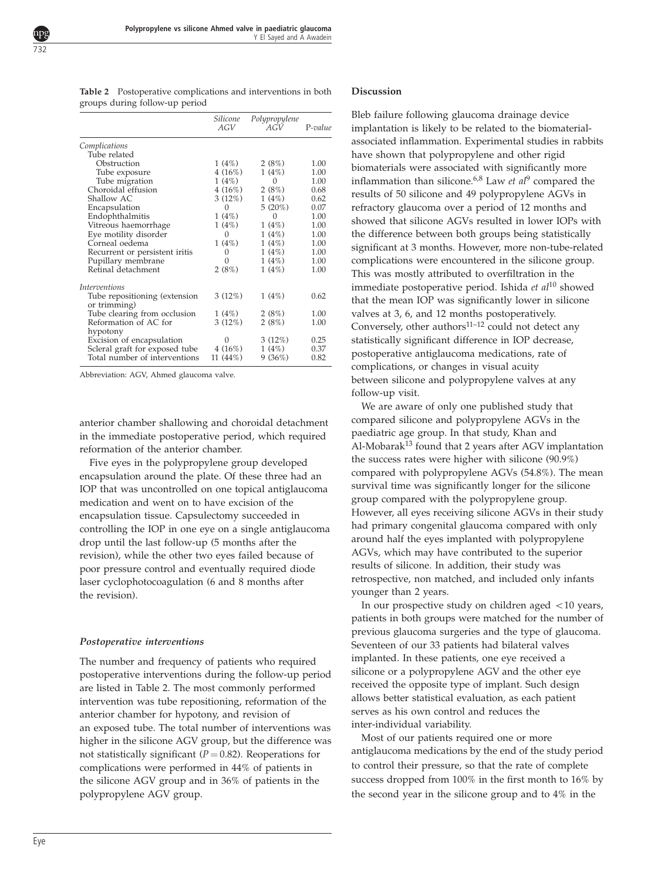<span id="page-4-0"></span>

Table 2 Postoperative complications and interventions in both groups during follow-up period

|                                               | Silicone<br>AGV | Polypropylene<br>AGV | $P-value$ |
|-----------------------------------------------|-----------------|----------------------|-----------|
| Complications                                 |                 |                      |           |
| Tube related                                  |                 |                      |           |
| Obstruction                                   | 1(4%)           | 2(8%)                | 1.00      |
| Tube exposure                                 | 4 (16%)         | 1(4%)                | 1.00      |
| Tube migration                                | 1(4%)           | 0                    | 1.00      |
| Choroidal effusion                            | 4(16%)          | 2(8%)                | 0.68      |
| Shallow AC                                    | $3(12\%)$       | 1(4%)                | 0.62      |
| Encapsulation                                 | $\Omega$        | $5(20\%)$            | 0.07      |
| Endophthalmitis                               | 1(4%)           | 0                    | 1.00      |
| Vitreous haemorrhage                          | 1(4%)           | 1(4%)                | 1.00      |
| Eye motility disorder                         | 0               | 1(4%)                | 1.00      |
| Corneal oedema                                | 1(4%)           | 1(4%)                | 1.00      |
| Recurrent or persistent iritis                | 0               | 1(4%)                | 1.00      |
| Pupillary membrane                            | 0               | 1(4%)                | 1.00      |
| Retinal detachment                            | 2(8%)           | 1(4%)                | 1.00      |
| <i>Interventions</i>                          |                 |                      |           |
| Tube repositioning (extension<br>or trimming) | $3(12\%)$       | 1(4%)                | 0.62      |
| Tube clearing from occlusion                  | 1(4%)           | 2(8%)                | 1.00      |
| Reformation of AC for                         | $3(12\%)$       | 2(8%)                | 1.00      |
| hypotony                                      |                 |                      |           |
| Excision of encapsulation                     | 0               | $3(12\%)$            | 0.25      |
| Scleral graft for exposed tube                | 4 (16%)         | 1(4%)                | 0.37      |
| Total number of interventions                 | 11 (44%)        | 9(36%)               | 0.82      |
|                                               |                 |                      |           |

Abbreviation: AGV, Ahmed glaucoma valve.

anterior chamber shallowing and choroidal detachment in the immediate postoperative period, which required reformation of the anterior chamber.

Five eyes in the polypropylene group developed encapsulation around the plate. Of these three had an IOP that was uncontrolled on one topical antiglaucoma medication and went on to have excision of the encapsulation tissue. Capsulectomy succeeded in controlling the IOP in one eye on a single antiglaucoma drop until the last follow-up (5 months after the revision), while the other two eyes failed because of poor pressure control and eventually required diode laser cyclophotocoagulation (6 and 8 months after the revision).

## Postoperative interventions

The number and frequency of patients who required postoperative interventions during the follow-up period are listed in Table 2. The most commonly performed intervention was tube repositioning, reformation of the anterior chamber for hypotony, and revision of an exposed tube. The total number of interventions was higher in the silicone AGV group, but the difference was not statistically significant ( $P = 0.82$ ). Reoperations for complications were performed in 44% of patients in the silicone AGV group and in 36% of patients in the polypropylene AGV group.

### Discussion

Bleb failure following glaucoma drainage device implantation is likely to be related to the biomaterialassociated inflammation. Experimental studies in rabbits have shown that polypropylene and other rigid biomaterials were associated with significantly more inflammation than silicone.<sup>[6,8](#page-5-0)</sup> Law *et al*<sup>[9](#page-5-0)</sup> compared the results of 50 silicone and 49 polypropylene AGVs in refractory glaucoma over a period of 12 months and showed that silicone AGVs resulted in lower IOPs with the difference between both groups being statistically significant at 3 months. However, more non-tube-related complications were encountered in the silicone group. This was mostly attributed to overfiltration in the immediate postoperative period. Ishida et  $al^{10}$  $al^{10}$  $al^{10}$  showed that the mean IOP was significantly lower in silicone valves at 3, 6, and 12 months postoperatively. Conversely, other authors $^{11-12}$  could not detect any statistically significant difference in IOP decrease, postoperative antiglaucoma medications, rate of complications, or changes in visual acuity between silicone and polypropylene valves at any follow-up visit.

We are aware of only one published study that compared silicone and polypropylene AGVs in the paediatric age group. In that study, Khan and  $Al-Mobarak<sup>13</sup>$  $Al-Mobarak<sup>13</sup>$  $Al-Mobarak<sup>13</sup>$  found that 2 years after AGV implantation the success rates were higher with silicone (90.9%) compared with polypropylene AGVs (54.8%). The mean survival time was significantly longer for the silicone group compared with the polypropylene group. However, all eyes receiving silicone AGVs in their study had primary congenital glaucoma compared with only around half the eyes implanted with polypropylene AGVs, which may have contributed to the superior results of silicone. In addition, their study was retrospective, non matched, and included only infants younger than 2 years.

In our prospective study on children aged  $<$  10 years, patients in both groups were matched for the number of previous glaucoma surgeries and the type of glaucoma. Seventeen of our 33 patients had bilateral valves implanted. In these patients, one eye received a silicone or a polypropylene AGV and the other eye received the opposite type of implant. Such design allows better statistical evaluation, as each patient serves as his own control and reduces the inter-individual variability.

Most of our patients required one or more antiglaucoma medications by the end of the study period to control their pressure, so that the rate of complete success dropped from 100% in the first month to 16% by the second year in the silicone group and to 4% in the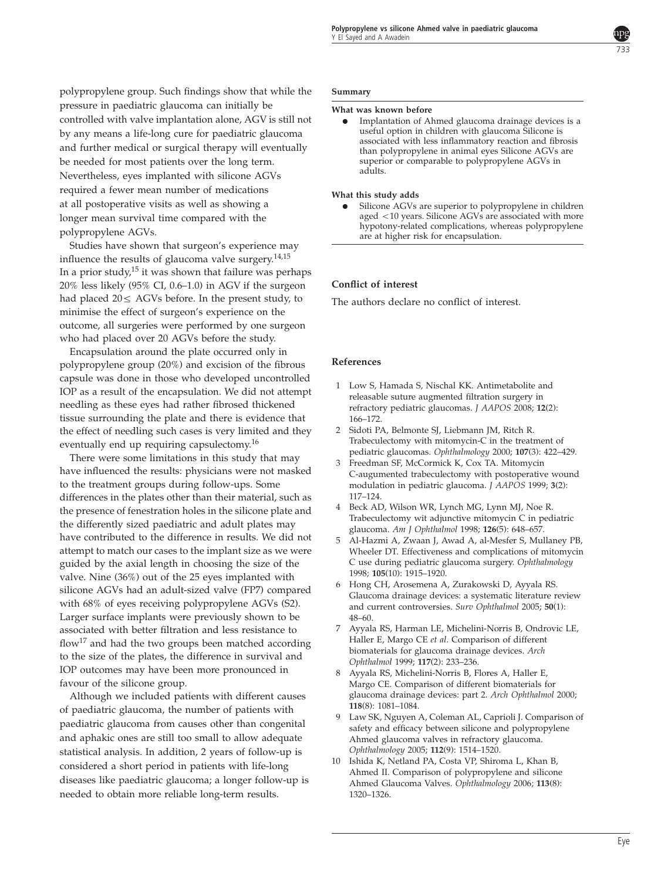

<span id="page-5-0"></span>polypropylene group. Such findings show that while the pressure in paediatric glaucoma can initially be controlled with valve implantation alone, AGV is still not by any means a life-long cure for paediatric glaucoma and further medical or surgical therapy will eventually be needed for most patients over the long term. Nevertheless, eyes implanted with silicone AGVs required a fewer mean number of medications at all postoperative visits as well as showing a longer mean survival time compared with the polypropylene AGVs.

Studies have shown that surgeon's experience may influence the results of glaucoma valve surgery. $14,15$ In a prior study,<sup>15</sup> it was shown that failure was perhaps 20% less likely (95% CI, 0.6–1.0) in AGV if the surgeon had placed  $20 \leq AGVs$  before. In the present study, to minimise the effect of surgeon's experience on the outcome, all surgeries were performed by one surgeon who had placed over 20 AGVs before the study.

Encapsulation around the plate occurred only in polypropylene group (20%) and excision of the fibrous capsule was done in those who developed uncontrolled IOP as a result of the encapsulation. We did not attempt needling as these eyes had rather fibrosed thickened tissue surrounding the plate and there is evidence that the effect of needling such cases is very limited and they eventually end up requiring capsulectomy.<sup>[16](#page-6-0)</sup>

There were some limitations in this study that may have influenced the results: physicians were not masked to the treatment groups during follow-ups. Some differences in the plates other than their material, such as the presence of fenestration holes in the silicone plate and the differently sized paediatric and adult plates may have contributed to the difference in results. We did not attempt to match our cases to the implant size as we were guided by the axial length in choosing the size of the valve. Nine (36%) out of the 25 eyes implanted with silicone AGVs had an adult-sized valve (FP7) compared with 68% of eyes receiving polypropylene AGVs (S2). Larger surface implants were previously shown to be associated with better filtration and less resistance to flow<sup>[17](#page-6-0)</sup> and had the two groups been matched according to the size of the plates, the difference in survival and IOP outcomes may have been more pronounced in favour of the silicone group.

Although we included patients with different causes of paediatric glaucoma, the number of patients with paediatric glaucoma from causes other than congenital and aphakic ones are still too small to allow adequate statistical analysis. In addition, 2 years of follow-up is considered a short period in patients with life-long diseases like paediatric glaucoma; a longer follow-up is needed to obtain more reliable long-term results.

### Summary

#### What was known before

Implantation of Ahmed glaucoma drainage devices is a useful option in children with glaucoma Silicone is associated with less inflammatory reaction and fibrosis than polypropylene in animal eyes Silicone AGVs are superior or comparable to polypropylene AGVs in adults.

### What this study adds

Silicone AGVs are superior to polypropylene in children aged <10 years. Silicone AGVs are associated with more hypotony-related complications, whereas polypropylene are at higher risk for encapsulation.

## Conflict of interest

The authors declare no conflict of interest.

#### References

- 1 Low S, Hamada S, Nischal KK. Antimetabolite and releasable suture augmented filtration surgery in refractory pediatric glaucomas. J AAPOS 2008; 12(2): 166–172.
- 2 Sidoti PA, Belmonte SJ, Liebmann JM, Ritch R. Trabeculectomy with mitomycin-C in the treatment of pediatric glaucomas. Ophthalmology 2000; 107(3): 422-429.
- 3 Freedman SF, McCormick K, Cox TA. Mitomycin C-augumented trabeculectomy with postoperative wound modulation in pediatric glaucoma. J AAPOS 1999; 3(2): 117–124.
- 4 Beck AD, Wilson WR, Lynch MG, Lynn MJ, Noe R. Trabeculectomy wit adjunctive mitomycin C in pediatric glaucoma. Am J Ophthalmol 1998; 126(5): 648–657.
- 5 Al-Hazmi A, Zwaan J, Awad A, al-Mesfer S, Mullaney PB, Wheeler DT. Effectiveness and complications of mitomycin C use during pediatric glaucoma surgery. Ophthalmology 1998; 105(10): 1915–1920.
- 6 Hong CH, Arosemena A, Zurakowski D, Ayyala RS. Glaucoma drainage devices: a systematic literature review and current controversies. Surv Ophthalmol 2005; 50(1): 48–60.
- 7 Ayyala RS, Harman LE, Michelini-Norris B, Ondrovic LE, Haller E, Margo CE et al. Comparison of different biomaterials for glaucoma drainage devices. Arch Ophthalmol 1999; 117(2): 233–236.
- 8 Ayyala RS, Michelini-Norris B, Flores A, Haller E, Margo CE. Comparison of different biomaterials for glaucoma drainage devices: part 2. Arch Ophthalmol 2000; 118(8): 1081–1084.
- 9 Law SK, Nguyen A, Coleman AL, Caprioli J. Comparison of safety and efficacy between silicone and polypropylene Ahmed glaucoma valves in refractory glaucoma. Ophthalmology 2005; 112(9): 1514–1520.
- 10 Ishida K, Netland PA, Costa VP, Shiroma L, Khan B, Ahmed II. Comparison of polypropylene and silicone Ahmed Glaucoma Valves. Ophthalmology 2006; 113(8): 1320–1326.